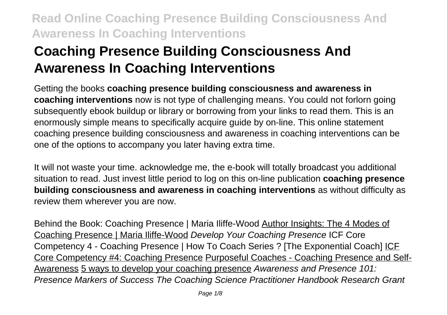# **Coaching Presence Building Consciousness And Awareness In Coaching Interventions**

Getting the books **coaching presence building consciousness and awareness in coaching interventions** now is not type of challenging means. You could not forlorn going subsequently ebook buildup or library or borrowing from your links to read them. This is an enormously simple means to specifically acquire guide by on-line. This online statement coaching presence building consciousness and awareness in coaching interventions can be one of the options to accompany you later having extra time.

It will not waste your time. acknowledge me, the e-book will totally broadcast you additional situation to read. Just invest little period to log on this on-line publication **coaching presence building consciousness and awareness in coaching interventions** as without difficulty as review them wherever you are now.

Behind the Book: Coaching Presence | Maria Iliffe-Wood Author Insights: The 4 Modes of Coaching Presence | Maria Iliffe-Wood Develop Your Coaching Presence ICF Core Competency 4 - Coaching Presence | How To Coach Series ? [The Exponential Coach] ICF Core Competency #4: Coaching Presence Purposeful Coaches - Coaching Presence and Self-Awareness 5 ways to develop your coaching presence Awareness and Presence 101: Presence Markers of Success The Coaching Science Practitioner Handbook Research Grant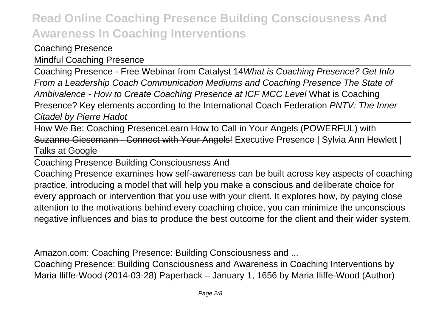#### Coaching Presence

Mindful Coaching Presence

Coaching Presence - Free Webinar from Catalyst 14What is Coaching Presence? Get Info From a Leadership Coach Communication Mediums and Coaching Presence The State of Ambivalence - How to Create Coaching Presence at ICF MCC Level What is Coaching Presence? Key elements according to the International Coach Federation PNTV: The Inner Citadel by Pierre Hadot

How We Be: Coaching PresenceLearn How to Call in Your Angels (POWERFUL) with Suzanne Giesemann - Connect with Your Angels! Executive Presence | Sylvia Ann Hewlett | Talks at Google

Coaching Presence Building Consciousness And

Coaching Presence examines how self-awareness can be built across key aspects of coaching practice, introducing a model that will help you make a conscious and deliberate choice for every approach or intervention that you use with your client. It explores how, by paying close attention to the motivations behind every coaching choice, you can minimize the unconscious negative influences and bias to produce the best outcome for the client and their wider system.

Amazon.com: Coaching Presence: Building Consciousness and ...

Coaching Presence: Building Consciousness and Awareness in Coaching Interventions by Maria Iliffe-Wood (2014-03-28) Paperback – January 1, 1656 by Maria Iliffe-Wood (Author)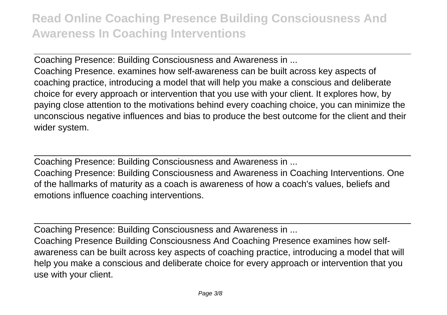Coaching Presence: Building Consciousness and Awareness in ...

Coaching Presence. examines how self-awareness can be built across key aspects of coaching practice, introducing a model that will help you make a conscious and deliberate choice for every approach or intervention that you use with your client. It explores how, by paying close attention to the motivations behind every coaching choice, you can minimize the unconscious negative influences and bias to produce the best outcome for the client and their wider system.

Coaching Presence: Building Consciousness and Awareness in ...

Coaching Presence: Building Consciousness and Awareness in Coaching Interventions. One of the hallmarks of maturity as a coach is awareness of how a coach's values, beliefs and emotions influence coaching interventions.

Coaching Presence: Building Consciousness and Awareness in ...

Coaching Presence Building Consciousness And Coaching Presence examines how selfawareness can be built across key aspects of coaching practice, introducing a model that will help you make a conscious and deliberate choice for every approach or intervention that you use with your client.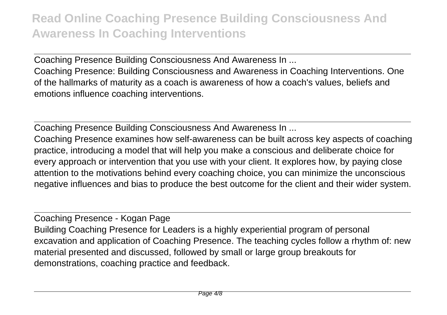Coaching Presence Building Consciousness And Awareness In ...

Coaching Presence: Building Consciousness and Awareness in Coaching Interventions. One of the hallmarks of maturity as a coach is awareness of how a coach's values, beliefs and emotions influence coaching interventions.

Coaching Presence Building Consciousness And Awareness In ...

Coaching Presence examines how self-awareness can be built across key aspects of coaching practice, introducing a model that will help you make a conscious and deliberate choice for every approach or intervention that you use with your client. It explores how, by paying close attention to the motivations behind every coaching choice, you can minimize the unconscious negative influences and bias to produce the best outcome for the client and their wider system.

Coaching Presence - Kogan Page Building Coaching Presence for Leaders is a highly experiential program of personal excavation and application of Coaching Presence. The teaching cycles follow a rhythm of: new material presented and discussed, followed by small or large group breakouts for demonstrations, coaching practice and feedback.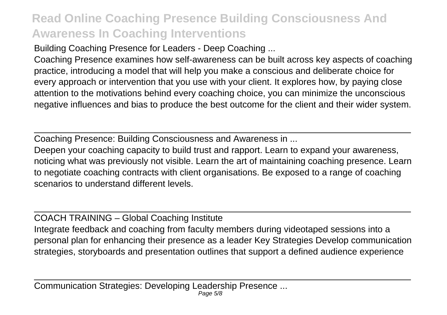Building Coaching Presence for Leaders - Deep Coaching ...

Coaching Presence examines how self-awareness can be built across key aspects of coaching practice, introducing a model that will help you make a conscious and deliberate choice for every approach or intervention that you use with your client. It explores how, by paying close attention to the motivations behind every coaching choice, you can minimize the unconscious negative influences and bias to produce the best outcome for the client and their wider system.

Coaching Presence: Building Consciousness and Awareness in ...

Deepen your coaching capacity to build trust and rapport. Learn to expand your awareness, noticing what was previously not visible. Learn the art of maintaining coaching presence. Learn to negotiate coaching contracts with client organisations. Be exposed to a range of coaching scenarios to understand different levels.

COACH TRAINING – Global Coaching Institute

Integrate feedback and coaching from faculty members during videotaped sessions into a personal plan for enhancing their presence as a leader Key Strategies Develop communication strategies, storyboards and presentation outlines that support a defined audience experience

Communication Strategies: Developing Leadership Presence ... Page 5/8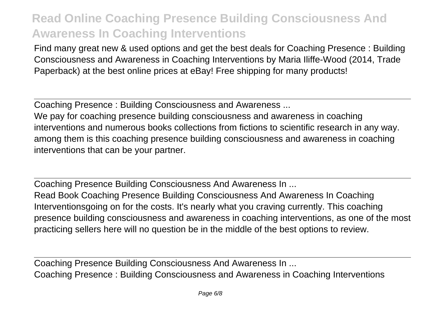Find many great new & used options and get the best deals for Coaching Presence : Building Consciousness and Awareness in Coaching Interventions by Maria Iliffe-Wood (2014, Trade Paperback) at the best online prices at eBay! Free shipping for many products!

Coaching Presence : Building Consciousness and Awareness ...

We pay for coaching presence building consciousness and awareness in coaching interventions and numerous books collections from fictions to scientific research in any way. among them is this coaching presence building consciousness and awareness in coaching interventions that can be your partner.

Coaching Presence Building Consciousness And Awareness In ... Read Book Coaching Presence Building Consciousness And Awareness In Coaching Interventionsgoing on for the costs. It's nearly what you craving currently. This coaching presence building consciousness and awareness in coaching interventions, as one of the most practicing sellers here will no question be in the middle of the best options to review.

Coaching Presence Building Consciousness And Awareness In ... Coaching Presence : Building Consciousness and Awareness in Coaching Interventions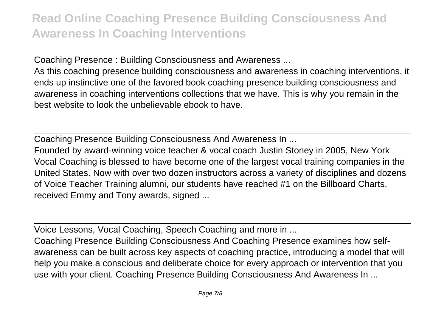Coaching Presence : Building Consciousness and Awareness ...

As this coaching presence building consciousness and awareness in coaching interventions, it ends up instinctive one of the favored book coaching presence building consciousness and awareness in coaching interventions collections that we have. This is why you remain in the best website to look the unbelievable ebook to have.

Coaching Presence Building Consciousness And Awareness In ...

Founded by award-winning voice teacher & vocal coach Justin Stoney in 2005, New York Vocal Coaching is blessed to have become one of the largest vocal training companies in the United States. Now with over two dozen instructors across a variety of disciplines and dozens of Voice Teacher Training alumni, our students have reached #1 on the Billboard Charts, received Emmy and Tony awards, signed ...

Voice Lessons, Vocal Coaching, Speech Coaching and more in ...

Coaching Presence Building Consciousness And Coaching Presence examines how selfawareness can be built across key aspects of coaching practice, introducing a model that will help you make a conscious and deliberate choice for every approach or intervention that you use with your client. Coaching Presence Building Consciousness And Awareness In ...